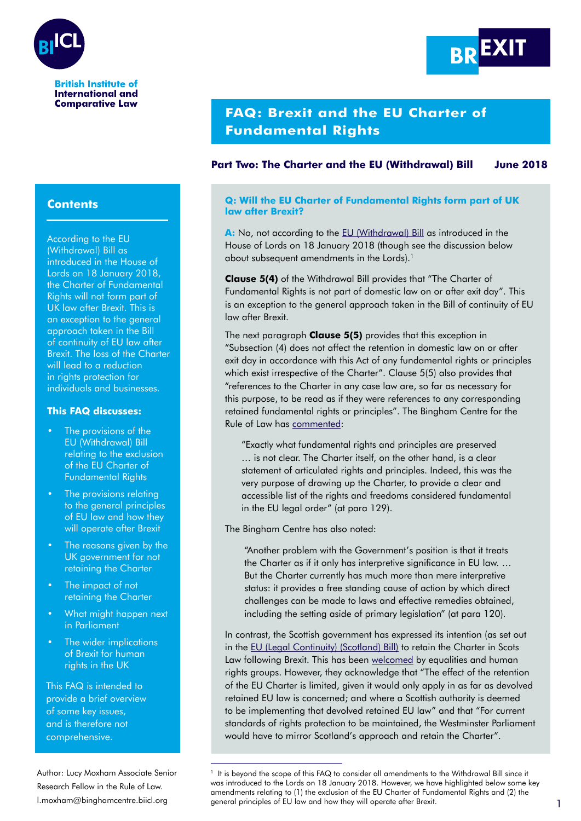

**International and Comparative Law** 



# **FAQ: Brexit and the EU Charter of Fundamental Rights**

## **Part Two: The Charter and the EU (Withdrawal) Bill June 2018**

#### **Q: Will the EU Charter of Fundamental Rights form part of UK law after Brexit?**

**A:** No, not according to the [EU \(Withdrawal\) Bill](https://bit.ly/2HCM3WB) as introduced in the House of Lords on 18 January 2018 (though see the discussion below about subsequent amendments in the Lords).<sup>1</sup>

**Clause 5(4)** of the Withdrawal Bill provides that "The Charter of Fundamental Rights is not part of domestic law on or after exit day". This is an exception to the general approach taken in the Bill of continuity of EU law after Brexit.

The next paragraph **Clause 5(5)** provides that this exception in "Subsection (4) does not affect the retention in domestic law on or after exit day in accordance with this Act of any fundamental rights or principles which exist irrespective of the Charter". Clause 5(5) also provides that "references to the Charter in any case law are, so far as necessary for this purpose, to be read as if they were references to any corresponding retained fundamental rights or principles". The Bingham Centre for the Rule of Law has [commented](https://bit.ly/2xK6xJd):

"Exactly what fundamental rights and principles are preserved … is not clear. The Charter itself, on the other hand, is a clear statement of articulated rights and principles. Indeed, this was the very purpose of drawing up the Charter, to provide a clear and accessible list of the rights and freedoms considered fundamental in the EU legal order" (at para 129).

The Bingham Centre has also noted:

"Another problem with the Government's position is that it treats the Charter as if it only has interpretive significance in EU law. … But the Charter currently has much more than mere interpretive status: it provides a free standing cause of action by which direct challenges can be made to laws and effective remedies obtained, including the setting aside of primary legislation" (at para 120).

In contrast, the Scottish government has expressed its intention (as set out in the [EU \(Legal Continuity\) \(Scotland\) Bill\)](https://bit.ly/2GQvVgg) to retain the Charter in Scots Law following Brexit. This has been [welcomed](https://bit.ly/2kMBm6G) by equalities and human rights groups. However, they acknowledge that "The effect of the retention of the EU Charter is limited, given it would only apply in as far as devolved retained EU law is concerned; and where a Scottish authority is deemed to be implementing that devolved retained EU law" and that "For current standards of rights protection to be maintained, the Westminster Parliament would have to mirror Scotland's approach and retain the Charter".

# **Contents**

According to the EU (Withdrawal) Bill as introduced in the House of Lords on 18 January 2018, the Charter of Fundamental Rights will not form part of UK law after Brexit. This is an exception to the general approach taken in the Bill of continuity of EU law after Brexit. The loss of the Charter will lead to a reduction in rights protection for individuals and businesses.

### **This FAQ discusses:**

- The provisions of the EU (Withdrawal) Bill relating to the exclusion of the EU Charter of Fundamental Rights
- The provisions relating to the general principles of EU law and how they will operate after Brexit
- The reasons given by the UK government for not retaining the Charter
- The impact of not retaining the Charter
- What might happen next in Parliament
- The wider implications of Brexit for human rights in the UK

This FAQ is intended to provide a brief overview of some key issues, and is therefore not comprehensive.

Author: Lucy Moxham Associate Senior Research Fellow in the Rule of Law.

[l.moxham@binghamcentre.biicl.org](mailto:l.moxham%40binghamcentre.biicl.org?subject=) 1 general principles of EU law and how they will operate after Brexit.1 It is beyond the scope of this FAQ to consider all amendments to the Withdrawal Bill since it was introduced to the Lords on 18 January 2018. However, we have highlighted below some key amendments relating to (1) the exclusion of the EU Charter of Fundamental Rights and (2) the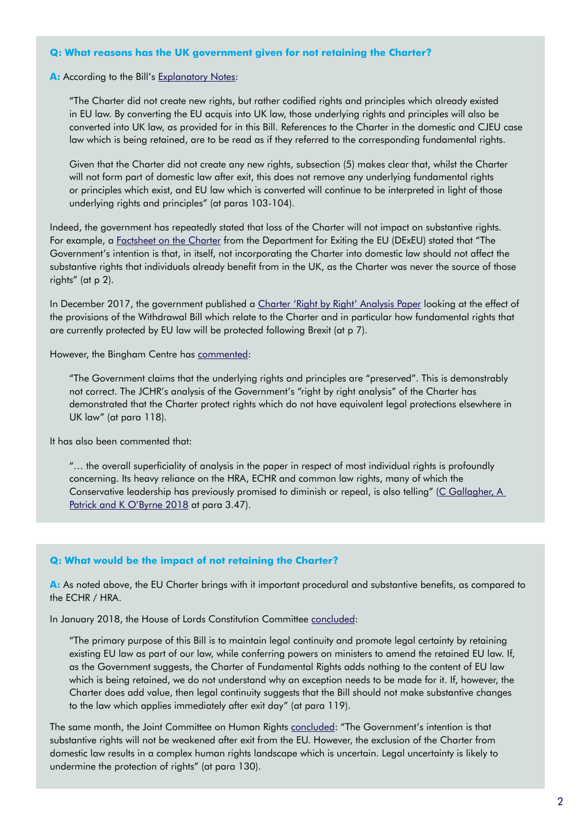#### **Q: What reasons has the UK government given for not retaining the Charter?**

#### A: According to the Bill's [Explanatory Notes](https://bit.ly/2sEY848):

"The Charter did not create new rights, but rather codified rights and principles which already existed in EU law. By converting the EU acquis into UK law, those underlying rights and principles will also be converted into UK law, as provided for in this Bill. References to the Charter in the domestic and CJEU case law which is being retained, are to be read as if they referred to the corresponding fundamental rights.

Given that the Charter did not create any new rights, subsection (5) makes clear that, whilst the Charter will not form part of domestic law after exit, this does not remove any underlying fundamental rights or principles which exist, and EU law which is converted will continue to be interpreted in light of those underlying rights and principles" (at paras 103-104).

Indeed, the government has repeatedly stated that loss of the Charter will not impact on substantive rights. For example, a [Factsheet on the Charter](https://bit.ly/2HkMSzd) from the Department for Exiting the EU (DExEU) stated that "The Government's intention is that, in itself, not incorporating the Charter into domestic law should not affect the substantive rights that individuals already benefit from in the UK, as the Charter was never the source of those rights" (at p 2).

In December 2017, the government published a [Charter 'Right by Right' Analysis Paper](https://bit.ly/2M15ZSD) looking at the effect of the provisions of the Withdrawal Bill which relate to the Charter and in particular how fundamental rights that are currently protected by EU law will be protected following Brexit (at p 7).

However, the Bingham Centre has [commented](https://bit.ly/2xK6xJd):

"The Government claims that the underlying rights and principles are "preserved". This is demonstrably not correct. The JCHR's analysis of the Government's "right by right analysis" of the Charter has demonstrated that the Charter protect rights which do not have equivalent legal protections elsewhere in UK law" (at para 118).

It has also been commented that:

"… the overall superficiality of analysis in the paper in respect of most individual rights is profoundly concerning. Its heavy reliance on the HRA, ECHR and common law rights, many of which the Conservative leadership has previously promised to diminish or repeal, is also telling" ([C Gallagher, A](https://bit.ly/2Jo4yz5)  [Patrick and K O'Byrne 2018](https://bit.ly/2Jo4yz5) at para 3.47).

#### **Q: What would be the impact of not retaining the Charter?**

**A:** As noted above, the EU Charter brings with it important procedural and substantive benefits, as compared to the ECHR / HRA.

In January 2018, the House of Lords Constitution Committee [concluded:](https://bit.ly/2DYwYNv)

"The primary purpose of this Bill is to maintain legal continuity and promote legal certainty by retaining existing EU law as part of our law, while conferring powers on ministers to amend the retained EU law. If, as the Government suggests, the Charter of Fundamental Rights adds nothing to the content of EU law which is being retained, we do not understand why an exception needs to be made for it. If, however, the Charter does add value, then legal continuity suggests that the Bill should not make substantive changes to the law which applies immediately after exit day" (at para 119).

The same month, the Joint Committee on Human Rights [concluded](https://bit.ly/2FU7iPl): "The Government's intention is that substantive rights will not be weakened after exit from the EU. However, the exclusion of the Charter from domestic law results in a complex human rights landscape which is uncertain. Legal uncertainty is likely to undermine the protection of rights" (at para 130).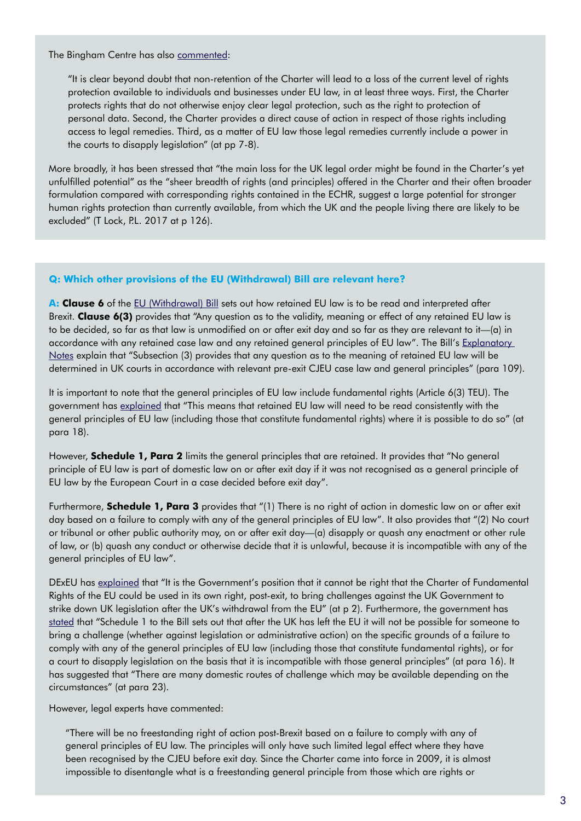The Bingham Centre has also [commented](https://bit.ly/2xK6xJd):

"It is clear beyond doubt that non-retention of the Charter will lead to a loss of the current level of rights protection available to individuals and businesses under EU law, in at least three ways. First, the Charter protects rights that do not otherwise enjoy clear legal protection, such as the right to protection of personal data. Second, the Charter provides a direct cause of action in respect of those rights including access to legal remedies. Third, as a matter of EU law those legal remedies currently include a power in the courts to disapply legislation" (at pp 7-8).

More broadly, it has been stressed that "the main loss for the UK legal order might be found in the Charter's yet unfulfilled potential" as the "sheer breadth of rights (and principles) offered in the Charter and their often broader formulation compared with corresponding rights contained in the ECHR, suggest a large potential for stronger human rights protection than currently available, from which the UK and the people living there are likely to be excluded" (T Lock, P.L. 2017 at p 126).

#### **Q: Which other provisions of the EU (Withdrawal) Bill are relevant here?**

A: **Clause 6** of the **EU** (Withdrawal) Bill sets out how retained EU law is to be read and interpreted after Brexit. **Clause 6(3)** provides that "Any question as to the validity, meaning or effect of any retained EU law is to be decided, so far as that law is unmodified on or after exit day and so far as they are relevant to it—(a) in accordance with any retained case law and any retained general principles of EU law". The Bill's Explanatory [Notes](https://bit.ly/2sEY848) explain that "Subsection (3) provides that any question as to the meaning of retained EU law will be determined in UK courts in accordance with relevant pre-exit CJEU case law and general principles" (para 109).

It is important to note that the general principles of EU law include fundamental rights (Article 6(3) TEU). The government has [explained](https://bit.ly/2M15ZSD) that "This means that retained EU law will need to be read consistently with the general principles of EU law (including those that constitute fundamental rights) where it is possible to do so" (at para 18).

However, **Schedule 1, Para 2** limits the general principles that are retained. It provides that "No general principle of EU law is part of domestic law on or after exit day if it was not recognised as a general principle of EU law by the European Court in a case decided before exit day".

Furthermore, **Schedule 1, Para 3** provides that "(1) There is no right of action in domestic law on or after exit day based on a failure to comply with any of the general principles of EU law". It also provides that "(2) No court or tribunal or other public authority may, on or after exit day—(a) disapply or quash any enactment or other rule of law, or (b) quash any conduct or otherwise decide that it is unlawful, because it is incompatible with any of the general principles of EU law".

DExEU has [explained](https://bit.ly/2HkMSzd) that "It is the Government's position that it cannot be right that the Charter of Fundamental Rights of the EU could be used in its own right, post-exit, to bring challenges against the UK Government to strike down UK legislation after the UK's withdrawal from the EU" (at p 2). Furthermore, the government has [stated](https://bit.ly/2M15ZSD) that "Schedule 1 to the Bill sets out that after the UK has left the EU it will not be possible for someone to bring a challenge (whether against legislation or administrative action) on the specific grounds of a failure to comply with any of the general principles of EU law (including those that constitute fundamental rights), or for a court to disapply legislation on the basis that it is incompatible with those general principles" (at para 16). It has suggested that "There are many domestic routes of challenge which may be available depending on the circumstances" (at para 23).

However, legal experts have commented:

"There will be no freestanding right of action post-Brexit based on a failure to comply with any of general principles of EU law. The principles will only have such limited legal effect where they have been recognised by the CJEU before exit day. Since the Charter came into force in 2009, it is almost impossible to disentangle what is a freestanding general principle from those which are rights or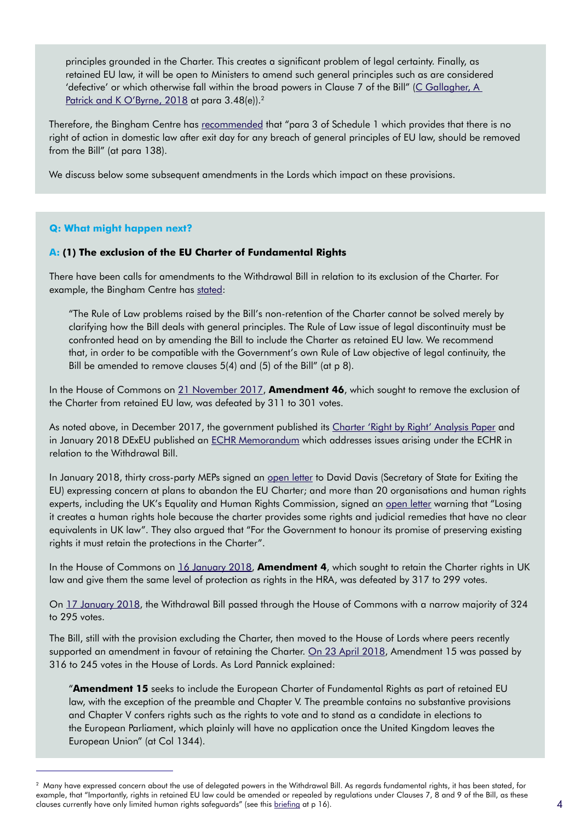principles grounded in the Charter. This creates a significant problem of legal certainty. Finally, as retained EU law, it will be open to Ministers to amend such general principles such as are considered 'defective' or which otherwise fall within the broad powers in Clause 7 of the Bill" ([C Gallagher, A](https://bit.ly/2Jo4yz5)  [Patrick and K O'Byrne, 2018](https://bit.ly/2Jo4yz5) at para 3.48(e)).<sup>2</sup>

Therefore, the Bingham Centre has [recommended](https://bit.ly/2xK6xJd) that "para 3 of Schedule 1 which provides that there is no right of action in domestic law after exit day for any breach of general principles of EU law, should be removed from the Bill" (at para 138).

We discuss below some subsequent amendments in the Lords which impact on these provisions.

### **Q: What might happen next?**

### **A: (1) The exclusion of the EU Charter of Fundamental Rights**

There have been calls for amendments to the Withdrawal Bill in relation to its exclusion of the Charter. For example, the Bingham Centre has [stated:](https://bit.ly/2xK6xJd)

"The Rule of Law problems raised by the Bill's non-retention of the Charter cannot be solved merely by clarifying how the Bill deals with general principles. The Rule of Law issue of legal discontinuity must be confronted head on by amending the Bill to include the Charter as retained EU law. We recommend that, in order to be compatible with the Government's own Rule of Law objective of legal continuity, the Bill be amended to remove clauses 5(4) and (5) of the Bill" (at p 8).

In the House of Commons on [21 November 2017,](https://bit.ly/2iIIHUk) **Amendment 46**, which sought to remove the exclusion of the Charter from retained EU law, was defeated by 311 to 301 votes.

As noted above, in December 2017, the government published its [Charter 'Right by Right' Analysis Paper](https://bit.ly/2M15ZSD) and in January 2018 DExEU published an [ECHR Memorandum](https://bit.ly/2JvwRLT) which addresses issues arising under the ECHR in relation to the Withdrawal Bill.

In January 2018, thirty cross-party MEPs signed an [open letter](https://bit.ly/2Ju55Q4) to David Davis (Secretary of State for Exiting the EU) expressing concern at plans to abandon the EU Charter; and more than 20 organisations and human rights experts, including the UK's Equality and Human Rights Commission, signed an [open letter](https://bit.ly/2r9JbcV) warning that "Losing it creates a human rights hole because the charter provides some rights and judicial remedies that have no clear equivalents in UK law". They also argued that "For the Government to honour its promise of preserving existing rights it must retain the protections in the Charter".

In the House of Commons on [16 January 2018,](https://bit.ly/2svG1hW) **Amendment 4**, which sought to retain the Charter rights in UK law and give them the same level of protection as rights in the HRA, was defeated by 317 to 299 votes.

On [17 January 2018](https://bit.ly/2szGcsk), the Withdrawal Bill passed through the House of Commons with a narrow majority of 324 to 295 votes.

The Bill, still with the provision excluding the Charter, then moved to the House of Lords where peers recently supported an amendment in favour of retaining the Charter. [On 23 April 2018,](https://bit.ly/2JwaTbA) Amendment 15 was passed by 316 to 245 votes in the House of Lords. As Lord Pannick explained:

"**Amendment 15** seeks to include the European Charter of Fundamental Rights as part of retained EU law, with the exception of the preamble and Chapter V. The preamble contains no substantive provisions and Chapter V confers rights such as the rights to vote and to stand as a candidate in elections to the European Parliament, which plainly will have no application once the United Kingdom leaves the European Union" (at Col 1344).

 $^2$  Many have expressed concern about the use of delegated powers in the Withdrawal Bill. As regards fundamental rights, it has been stated, for example, that "Importantly, rights in retained EU law could be amended or repealed by regulations under Clauses 7, 8 and 9 of the Bill, as these clauses currently have only limited human rights safeguards" (see this [briefing](https://bit.ly/2Lkc5fq) at p 16).